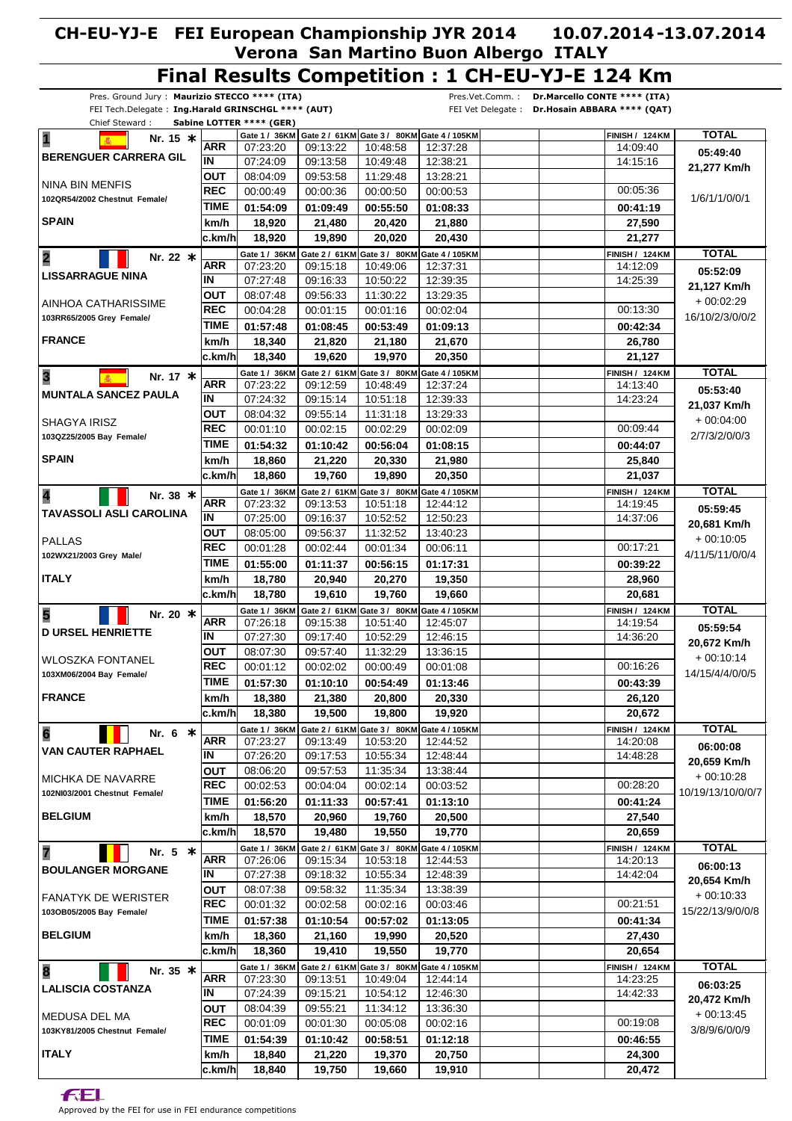#### Pres. Ground Jury : **Maurizio STECCO \*\*\*\* (ITA)** FEI Tech.Delegate : **Ing.Harald GRINSCHGL \*\*\*\* (AUT)** Chief Steward : **Sabine LOTTER \*\*\*\* (GER)** Pres.Vet.Comm. : **Dr.Marcello CONTE \*\*\*\* (ITA)** FEI Vet Delegate : **Dr.Hosain ABBARA \*\*\*\* (QAT) Final Results Competition : 1 CH-EU-YJ-E 124 Km** 07:23:20 07:24:09 08:04:09 Gate 1 / 36KM | Gate 2 / 61KM | Gate 3 / 80KM | Gate 4 / 105KM **01:54:09 18,920 km/h ARR TIME OUT IN REC** 00:00:49 **BERENGUER CARRERA GIL SPAIN** NINA BIN MENFIS **102QR54/2002 Chestnut Female/ 1 Nr. 15 \*** 09:13:22 09:13:58 09:53:58 **01:09:49 21,480** 00:00:36 10:48:58 10:49:48 11:29:48 **00:55:50 20,420** 00:00:50 12:37:28 12:38:21 13:28:21 **01:08:33 21,880** 00:00:53 00:05:36 14:09:40  **124 FINISH / KM 27,590 00:41:19** 14:15:16 **TOTAL 21,277 Km/h 05:49:40** 1/6/1/1/0/0/1 **c.km/h 19,890 20,020 20,430 21,277 18,920** 07:23:20 07:27:48 08:07:48  **36 Gate 1 / KM 01:57:48 18,340 km/h ARR TIME OUT IN REC** 00:04:28 **LISSARRAGUE NINA FRANCE** AINHOA CATHARISSIME **103RR65/2005 Grey Female/ 2 Nr. 22 \*** 09:15:18 09:16:33 09:56:33  **61 Gate 2 / KM 01:08:45 21,820** 00:01:15 10:49:06 10:50:22 11:30:22 **Gate 3 / 80KM 00:53:49 21,180** 00:01:16 12:37:31 12:39:35 13:29:35 Gate 4 / 105KM **01:09:13 21,670** 00:02:04 00:13:30 14:12:09  **124 FINISH / KM 26,780 00:42:34** 14:25:39 **TOTAL 21,127 Km/h 05:52:09** + 00:02:29 16/10/2/3/0/0/2 **c.km/h 19,620 19,970 20,350 21,127 18,340** 07:23:22 07:24:32 08:04:32 Gate 1 / 36KM **01:54:32 18,860 km/h ARR TIME OUT IN REC** 00:01:10 **MUNTALA SANCEZ PAULA SPAIN** SHAGYA IRISZ **103QZ25/2005 Bay Female/ 3 M**<br>**2 M**<br>**3 M** 09:12:59 09:15:14 09:55:14  **61 Gate 2 / KM 80 Gate 3 / KM 01:10:42 21,220** 00:02:15 10:48:49 10:51:18 11:31:18 **00:56:04 20,330** 00:02:29 12:37:24 12:39:33 13:29:33 Gate 4 / 105KM **01:08:15 21,980** 00:02:09 00:09:44 14:13:40  **124 FINISH / KM 25,840 00:44:07** 14:23:24 **TOTAL 21,037 Km/h 05:53:40**  $+$  00:04:00 2/7/3/2/0/0/3 **c.km/h 19,760 19,890 20,350 21,037 18,860** 07:23:32 07:25:00 08:05:00 Gate 1 / 36KM | Gate 2 / 61KM | Gate 3 / 80KM | Gate 4 / 105KM **01:55:00 18,780 km/h ARR TIME OUT IN REC** 00:01:28 **TAVASSOLI ASLI CAROLINA ITALY** PALLAS **102WX21/2003 Grey Male/ 4 Nr. 38 \*** 09:13:53 09:16:37 09:56:37 **01:11:37 20,940** 00:02:44 10:51:18 10:52:52 11:32:52 **00:56:15 20,270** 00:01:34 12:44:12 12:50:23 13:40:23 **01:17:31 19,350** 00:06:11 00:17:21 14:19:45  **124 FINISH / KM 28,960 00:39:22** 14:37:06 **TOTAL 20,681 Km/h 05:59:45** + 00:10:05 4/11/5/11/0/0/4 **c.km/h 19,610 19,760 19,660 20,681 18,780** 07:26:18  $07.27:30$ 08:07:30 Gate 1 / 36KM | Gate 2 / 61KM | Gate 3 / 80KM | Gate 4 / 105KM **01:57:30 18,380 km/h ARR TIME OUT IN REC** 00:01:12 **D URSEL HENRIETTE FRANCE** WLOSZKA FONTANEL **103XM06/2004 Bay Female/ 5 Nr. 20 \*** 09:15:38 09:17:40 09:57:40 **01:10:10 21,380** 00:02:02 10:51:40 10:52:29 11:32:29 **00:54:49 20,800** 00:00:49 12:45:07 12:46:15 13:36:15 **01:13:46 20,330** 00:01:08 00:16:26 14:19:54  **124 FINISH / KM 26,120 00:43:39** 14:36:20 **TOTAL 20,672 Km/h 05:59:54** + 00:10:14 14/15/4/4/0/0/5 **c.km/h 19,500 19,800 19,920 20,672 18,380** 07:23:27 07:26:20 08:06:20 Gate 1 / 36KM | Gate 2 / 61KM | Gate 3 / 80KM | Gate 4 / 105KM **01:56:20 18,570 km/h ARR TIME OUT IN REC** 00:02:53 **VAN CAUTER RAPHAEL BELGIUM** MICHKA DE NAVARRE **102NI03/2001 Chestnut Female/ 6 Nr. 6 \*** 09:13:49 09:17:53 09:57:53 **01:11:33 20,960** 00:04:04 10:53:20 10:55:34 11:35:34 **00:57:41 19,760** 00:02:14 12:44:52 12:48:44 13:38:44 **01:13:10 20,500** 00:03:52 00:28:20 14:20:08  **124 FINISH / KM 27,540 00:41:24** 14:48:28 **TOTAL 20,659 Km/h 06:00:08** + 00:10:28 10/19/13/10/0/0/7 **c.km/h 19,480 19,550 19,770 20,659 18,570** 07:26:06 07:27:38 08:07:38 Gate 1 / 36KM | Gate 2 / 61KM | Gate 3 / 80KM | Gate 4 / 105KM **01:57:38 18,360 km/h ARR TIME OUT IN REC** 00:01:32 **BOULANGER MORGANE BELGIUM** FANATYK DE WERISTER **103OB05/2005 Bay Female/ 7 Nr. 5 \*** 09:15:34 09:18:32 09:58:32 **01:10:54 21,160** 00:02:58 10:53:18 10:55:34 11:35:34 **00:57:02 19,990** 00:02:16 12:44:53 12:48:39 13:38:39 **01:13:05 20,520** 00:03:46 00:21:51 14:20:13  **124 FINISH / KM 27,430 00:41:34** 14:42:04 **TOTAL 20,654 Km/h 06:00:13** + 00:10:33 15/22/13/9/0/0/8 **c.km/h 19,410 19,550 19,770 20,654 18,360** 07:23:30 07:24:39 08:04:39 Gate 1 / 36KM | Gate 2 / 61KM | Gate 3 / 80KM **01:54:39 18,840 km/h ARR TIME OUT IN REC** 00:01:09 **LALISCIA COSTANZA ITALY** MEDUSA DEL MA **103KY81/2005 Chestnut Female/ 8 Nr.** 35 **\*** 09:13:51 09:15:21 09:55:21 **01:10:42 21,220** 00:01:30 10:49:04 10:54:12 11:34:12 **00:58:51 19,370** 00:05:08 12:44:14 12:46:30 13:36:30 Gate 4 / 105KM **01:12:18 20,750** 00:02:16 00:19:08 14:23:25  **124 FINISH / KM 24,300 00:46:55** 14:42:33 **TOTAL 20,472 Km/h 06:03:25**  $+ 00.13.45$ 3/8/9/6/0/0/9

**c.km/h 19,750 19,660 19,910 20,472 18,840**

**FEL**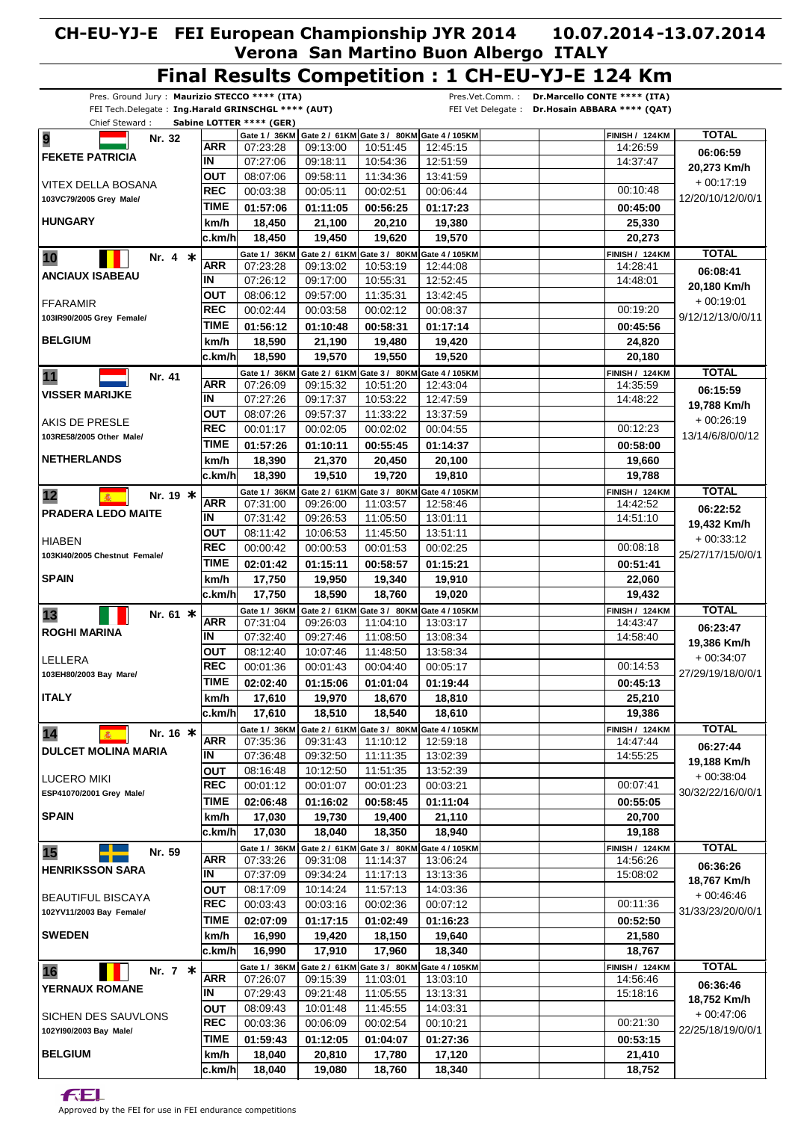#### Pres. Ground Jury : **Maurizio STECCO \*\*\*\* (ITA)** FEI Tech.Delegate : **Ing.Harald GRINSCHGL \*\*\*\* (AUT)** Chief Steward : **Sabine LOTTER \*\*\*\* (GER)** Pres.Vet.Comm. : **Dr.Marcello CONTE \*\*\*\* (ITA)** FEI Vet Delegate : **Dr.Hosain ABBARA \*\*\*\* (QAT) Final Results Competition : 1 CH-EU-YJ-E 124 Km** 07:23:28 07:27:06 08:07:06 Gate 1 / 36KM | Gate 2 / 61KM | Gate 3 / 80KM | Gate 4 / 105KM **01:57:06 18,450 km/h ARR TIME OUT IN REC** 00:03:38 **FEKETE PATRICIA HUNGARY** VITEX DELLA BOSANA **103VC79/2005 Grey Male/ 9 Nr.** 32 09:13:00 09:18:11 09:58:11 **01:11:05 21,100** 00:05:11 10:51:45 10:54:36 11:34:36 **00:56:25 20,210** 00:02:51 12:45:15 12:51:59 13:41:59 **01:17:23 19,380** 00:06:44 00:10:48 14:26:59  **124 FINISH / KM 25,330 00:45:00** 14:37:47 **TOTAL 20,273 Km/h 06:06:59**  $+00:17:19$ 12/20/10/12/0/0/1 **c.km/h 19,450 19,620 19,570 20,273 18,450** 07:23:28 07:26:12 08:06:12  **36 Gate 1 / KM 01:56:12 18,590 km/h ARR TIME OUT IN REC** 00:02:44 **ANCIAUX ISABEAU BELGIUM** FFARAMIR **103IR90/2005 Grey Female/ 10 Nr. 4 \*** 09:13:02 09:17:00 09:57:00  **61 Gate 2 / KM 01:10:48 21,190** 00:03:58 10:53:19 10:55:31 11:35:31 **Gate 3 / 80KM 00:58:31 19,480** 00:02:12 12:44:08 12:52:45 13:42:45 Gate 4 / 105KM **01:17:14 19,420** 00:08:37 00:19:20 14:28:41  **124 FINISH / KM 24,820 00:45:56** 14:48:01 **TOTAL 20,180 Km/h 06:08:41** + 00:19:01 9/12/12/13/0/0/11 **c.km/h 19,570 19,550 19,520 20,180 18,590** 07:26:09 07:27:26 08:07:26 Gate 1 / 36KM **01:57:26 18,390 km/h ARR TIME OUT IN REC** 00:01:17 **VISSER MARIJKE NETHERLANDS** AKIS DE PRESLE **103RE58/2005 Other Male/ 11 Nr. 41** 09:15:32 09:17:37 09:57:37  **61 Gate 2 / KM 80 Gate 3 / KM 01:10:11 21,370** 00:02:05 10:51:20 10:53:22 11:33:22 **00:55:45 20,450** 00:02:02 12:43:04 12:47:59 13:37:59 Gate 4 / 105KM **01:14:37 20,100** 00:04:55 00:12:23 14:35:59  **124 FINISH / KM 19,660 00:58:00** 14:48:22 **TOTAL 19,788 Km/h 06:15:59**  $+ 00.26.19$ 13/14/6/8/0/0/12 **c.km/h 19,510 19,720 19,810 19,788 18,390** 07:31:00 07:31:42 08:11:42 Gate 1 / 36KM | Gate 2 / 61KM | Gate 3 / 80KM | Gate 4 / 105KM **02:01:42 17,750 km/h ARR TIME OUT IN REC** 00:00:42 **PRADERA LEDO MAITE SPAIN** HIABEN **103KI40/2005 Chestnut Female/ 12 M**<sup>*\**</sup> **M**<sup>*\**</sup> **Nr. 19 ≭** 09:26:00 09:26:53 10:06:53 **01:15:11 19,950** 00:00:53 11:03:57 11:05:50 11:45:50 **00:58:57 19,340** 00:01:53 12:58:46 13:01:11 13:51:11 **01:15:21 19,910** 00:02:25 00:08:18 14:42:52  **124 FINISH / KM 22,060 00:51:41** 14:51:10 **TOTAL 19,432 Km/h 06:22:52** + 00:33:12 25/27/17/15/0/0/1 **c.km/h 18,590 18,760 19,020 19,432 17,750** 07:31:04 07:32:40 08:12:40 Gate 1 / 36KM | Gate 2 / 61KM | Gate 3 / 80KM | Gate 4 / 105KM **02:02:40 17,610 km/h ARR TIME OUT IN REC** 00:01:36 **ROGHI MARINA ITALY** LELLERA **103EH80/2003 Bay Mare/ 13 Nr. 61 \*** 09:26:03 09:27:46 10:07:46 **01:15:06 19,970** 00:01:43 11:04:10 11:08:50 11:48:50 **01:01:04 18,670** 00:04:40 13:03:17 13:08:34 13:58:34 **01:19:44 18,810** 00:05:17 00:14:53 14:43:47  **124 FINISH / KM 25,210 00:45:13** 14:58:40 **TOTAL 19,386 Km/h 06:23:47** + 00:34:07 27/29/19/18/0/0/1 **c.km/h 18,510 18,540 18,610 19,386 17,610** 07:35:36 07:36:48 08:16:48 Gate 1 / 36KM | Gate 2 / 61KM | Gate 3 / 80KM | Gate 4 / 105KM **02:06:48 17,030 km/h ARR TIME OUT IN REC** 00:01:12 **DULCET MOLINA MARIA SPAIN** LUCERO MIKI **ESP41070/2001 Grey Male/ 14 M**<br>**14 M**<br>**16 \*** 09:31:43 09:32:50 10:12:50 **01:16:02 19,730** 00:01:07 11:10:12 11:11:35 11:51:35 **00:58:45 19,400** 00:01:23 12:59:18 13:02:39 13:52:39 **01:11:04 21,110** 00:03:21 00:07:41 14:47:44  **124 FINISH / KM 20,700 00:55:05** 14:55:25 **TOTAL 19,188 Km/h 06:27:44** + 00:38:04 30/32/22/16/0/0/1 **c.km/h 18,040 18,350 18,940 19,188 17,030** 07:33:26 07:37:09 08:17:09  **36 Gate 1 / KM 02:07:09 16,990 km/h ARR TIME OUT IN REC** 00:03:43 **HENRIKSSON SARA SWEDEN** BEAUTIFUL BISCAYA **102YV11/2003 Bay Female/ 15 Nr. 59** 09:31:08 09:34:24 10:14:24 Gate 2 / 61KM | Gate 3 / 80KM | Gate 4 / 105KM **01:17:15 19,420** 00:03:16 11:14:37 11:17:13 11:57:13 **01:02:49 18,150** 00:02:36 13:06:24 13:13:36 14:03:36 **01:16:23 19,640** 00:07:12 00:11:36 14:56:26  **124 FINISH / KM 21,580 00:52:50** 15:08:02 **TOTAL 18,767 Km/h 06:36:26** + 00:46:46 31/33/23/20/0/0/1 **c.km/h 17,910 17,960 18,340 18,767 16,990** 07:26:07 07:29:43 08:09:43  **36 Gate 1 / KM 01:59:43 18,040 km/h ARR TIME OUT IN REC** 00:03:36 **YERNAUX ROMANE BELGIUM** SICHEN DES SAUVLONS **102YI90/2003 Bay Male/ 16 Nr. 7 \*** 09:15:39 09:21:48 10:01:48  **61 Gate 2 / KM 80 Gate 3 / KM 01:12:05 20,810** 00:06:09 11:03:01 11:05:55 11:45:55 **01:04:07 17,780** 00:02:54 13:03:10 13:13:31 14:03:31 Gate 4 / 105KM **01:27:36 17,120** 00:10:21 00:21:30 14:56:46  **124 FINISH / KM 21,410 00:53:15** 15:18:16 **TOTAL 18,752 Km/h 06:36:46**  $+ 00.47.06$ 22/25/18/19/0/0/1 **c.km/h 19,080 18,760 18,340 18,752 18,040**

**FEL**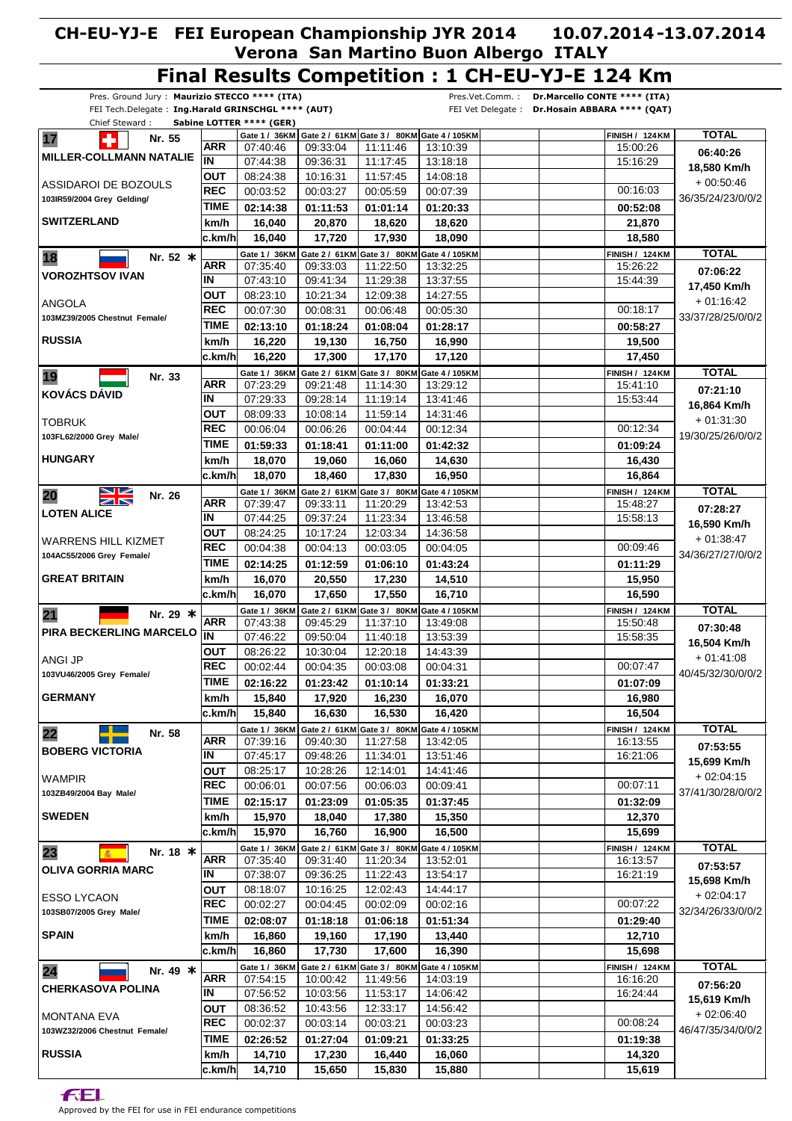#### Pres. Ground Jury : **Maurizio STECCO \*\*\*\* (ITA)** FEI Tech.Delegate : **Ing.Harald GRINSCHGL \*\*\*\* (AUT)** Chief Steward : **Sabine LOTTER \*\*\*\* (GER)** Pres.Vet.Comm. : **Dr.Marcello CONTE \*\*\*\* (ITA)** FEI Vet Delegate : **Dr.Hosain ABBARA \*\*\*\* (QAT) Final Results Competition : 1 CH-EU-YJ-E 124 Km** 07:40:46 07:44:38 08:24:38 Gate 1 / 36KM | Gate 2 / 61KM | Gate 3 / 80KM | Gate 4 / 105KM **02:14:38 16,040 km/h ARR TIME OUT IN REC** 00:03:52 **MILLER-COLLMANN NATALIE SWITZERLAND** ASSIDAROI DE BOZOULS **103IR59/2004 Grey Gelding/ 17 1 Nr.** 55 09:33:04 09:36:31 10:16:31 **01:11:53 20,870** 00:03:27 11:11:46 11:17:45 11:57:45 **01:01:14 18,620** 00:05:59 13:10:39 13:18:18 14:08:18 **01:20:33 18,620** 00:07:39 00:16:03 15:00:26  **124 FINISH / KM 21,870 00:52:08** 15:16:29 **TOTAL 18,580 Km/h 06:40:26** + 00:50:46 36/35/24/23/0/0/2 **c.km/h 17,720 17,930 18,090 18,580 16,040** 07:35:40 07:43:10 08:23:10  **36 Gate 1 / KM 02:13:10 16,220 km/h ARR TIME OUT IN REC** 00:07:30 **VOROZHTSOV IVAN RUSSIA** ANGOLA **103MZ39/2005 Chestnut Female/ 18 Nr.** 52 **\*** 09:33:03 09:41:34 10:21:34  **61 Gate 2 / KM 01:18:24 19,130** 00:08:31 11:22:50 11:29:38 12:09:38 **Gate 3 / 80KM 01:08:04 16,750** 00:06:48 13:32:25 13:37:55 14:27:55 Gate 4 / 105KM **01:28:17 16,990** 00:05:30 00:18:17 15:26:22  **124 FINISH / KM 19,500 00:58:27** 15:44:39 **TOTAL 17,450 Km/h 07:06:22** + 01:16:42 33/37/28/25/0/0/2 **c.km/h 17,300 17,170 17,120 17,450 16,220** 07:23:29 07:29:33 08:09:33 Gate 1 / 36KM **01:59:33 18,070 km/h ARR TIME OUT IN REC** 00:06:04 **KOVÁCS DÁVID HUNGARY TOBRUK 103FL62/2000 Grey Male/ 19 Nr. 33** 09:21:48 09:28:14 10:08:14  **61 Gate 2 / KM 80 Gate 3 / KM 01:18:41 19,060** 00:06:26 11:14:30 11:19:14 11:59:14 **01:11:00 16,060** 00:04:44 13:29:12 13:41:46 14:31:46 Gate 4 / 105KM **01:42:32 14,630** 00:12:34 00:12:34 15:41:10  **124 FINISH / KM 16,430 01:09:24** 15:53:44 **TOTAL 16,864 Km/h 07:21:10**  $+ 01:31:30$ 19/30/25/26/0/0/2 **c.km/h 18,460 17,830 16,950 16,864 18,070** 07:39:47 07:44:25 08:24:25 Gate 1 / 36KM | Gate 2 / 61KM | Gate 3 / 80KM | Gate 4 / 105KM **02:14:25 16,070 km/h ARR TIME OUT IN REC** 00:04:38 **LOTEN ALICE GREAT BRITAIN** WARRENS HILL KIZMET **104AC55/2006 Grey Female/ 20 Nr. 26** 09:33:11 09:37:24 10:17:24 **01:12:59 20,550** 00:04:13 11:20:29 11:23:34 12:03:34 **01:06:10 17,230** 00:03:05 13:42:53 13:46:58 14:36:58 **01:43:24 14,510** 00:04:05 00:09:46 15:48:27  **124 FINISH / KM 15,950 01:11:29** 15:58:13 **TOTAL 16,590 Km/h 07:28:27** + 01:38:47 34/36/27/27/0/0/2 **c.km/h 17,650 17,550 16,710 16,590 16,070** 07:43:38 07:46:22 08:26:22 Gate 1 / 36KM | Gate 2 / 61KM | Gate 3 / 80KM | Gate 4 / 105KM **02:16:22 15,840 km/h ARR TIME OUT**  $\overline{\mathbf{I}}$ **REC** 00:02:44 **PIRA BECKERLING MARCELO GERMANY** ANGI JP **103VU46/2005 Grey Female/ 21 Nr. 29 \*** 09:45:29 09:50:04 10:30:04 **01:23:42 17,920** 00:04:35 11:37:10  $11.40.18$ 12:20:18 **01:10:14 16,230** 00:03:08 13:49:08 13:53:39 14:43:39 **01:33:21 16,070** 00:04:31 00:07:47 15:50:48  **124 FINISH / KM 16,980 01:07:09** 15:58:35 **TOTAL 16,504 Km/h 07:30:48** + 01:41:08 40/45/32/30/0/0/2 **c.km/h 16,630 16,530 16,420 16,504 15,840** 07:39:16 07:45:17 08:25:17 Gate 1 / 36KM | Gate 2 / 61KM | Gate 3 / 80KM | Gate 4 / 105KM **02:15:17 15,970 km/h ARR TIME OUT IN REC** 00:06:01 **BOBERG VICTORIA SWEDEN WAMPIR 103ZB49/2004 Bay Male/ 22 Nr. 58** 09:40:30 09:48:26 10:28:26 **01:23:09 18,040** 00:07:56 11:27:58 11:34:01 12:14:01 **01:05:35 17,380** 00:06:03 13:42:05 13:51:46 14:41:46 **01:37:45 15,350** 00:09:41 00:07:11 16:13:55  **124 FINISH / KM 12,370 01:32:09** 16:21:06 **TOTAL 15,699 Km/h 07:53:55**  $+02:04:15$ 37/41/30/28/0/0/2 **c.km/h 16,760 16,900 16,500 15,699 15,970** 07:35:40 07:38:07 08:18:07 Gate 1 / 36KM | Gate 2 / 61KM | Gate 3 / 80KM | Gate 4 / 105KM **02:08:07 16,860 km/h ARR TIME OUT IN REC** 00:02:27 **OLIVA GORRIA MARC SPAIN** ESSO LYCAON **103SB07/2005 Grey Male/ 23 M**<br>**18 \*** 09:31:40 09:36:25 10:16:25 **01:18:18 19,160** 00:04:45 11:20:34 11:22:43 12:02:43 **01:06:18 17,190** 00:02:09 13:52:01 13:54:17 14:44:17 **01:51:34 13,440** 00:02:16 00:07:22 16:13:57  **124 FINISH / KM 12,710 01:29:40** 16:21:19 **TOTAL 15,698 Km/h 07:53:57** + 02:04:17 32/34/26/33/0/0/2 **c.km/h 17,730 17,600 16,390 15,698 16,860** 07:54:15 07:56:52 08:36:52 Gate 1 / 36KM | Gate 2 / 61KM | Gate 3 / 80KM **02:26:52 14,710 km/h ARR TIME OUT IN REC** 00:02:37 **CHERKASOVA POLINA RUSSIA** MONTANA EVA **103WZ32/2006 Chestnut Female/ 24 Nr. 49 \*** 10:00:42 10:03:56 10:43:56 **01:27:04 17,230** 00:03:14 11:49:56 11:53:17 12:33:17 **01:09:21 16,440** 00:03:21 14:03:19 14:06:42 14:56:42 Gate 4 / 105KM **01:33:25 16,060** 00:03:23 00:08:24 16:16:20  **124 FINISH / KM 14,320 01:19:38** 16:24:44 **TOTAL 15,619 Km/h 07:56:20**  $+ 02.06:40$ 46/47/35/34/0/0/2 **c.km/h 15,650 15,830 15,880 15,619 14,710**

**FEL**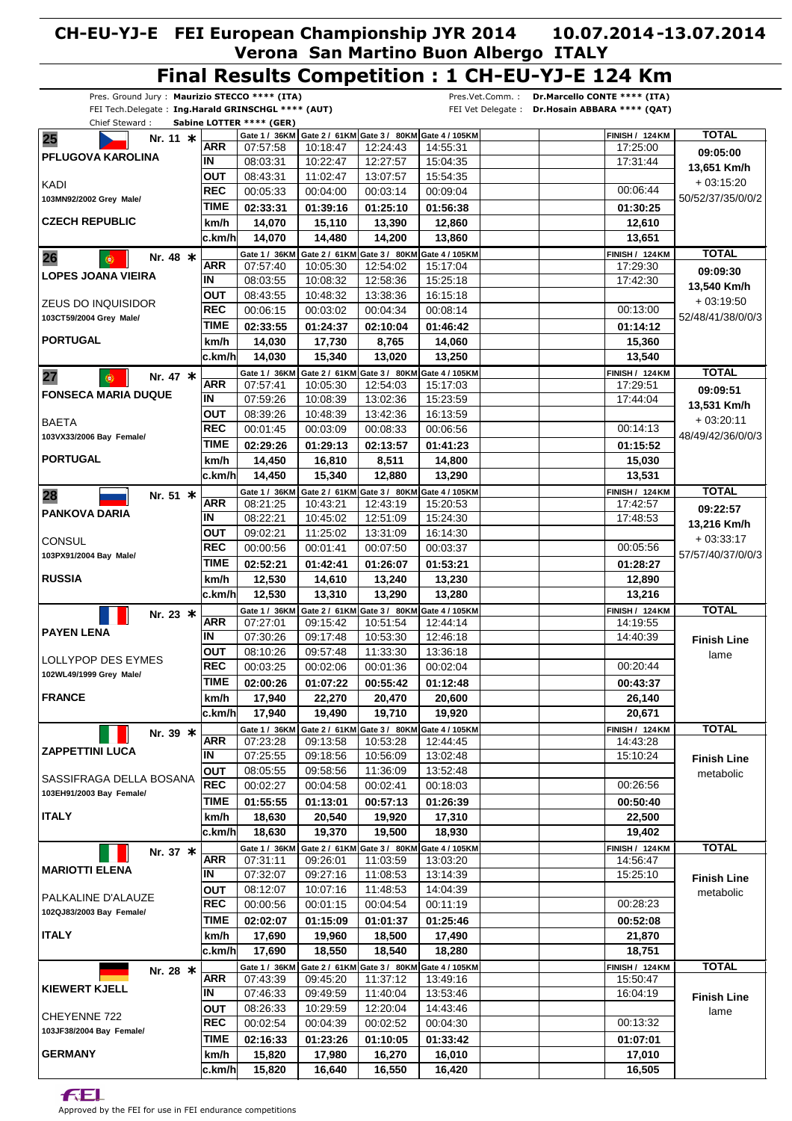#### **Final Results Competition : 1 CH-EU-YJ-E 124 Km** Pres. Ground Jury : **Maurizio STECCO \*\*\*\* (ITA)** Pres.Vet.Comm. : **Dr.Marcello CONTE \*\*\*\* (ITA)** FEI Tech.Delegate : **Ing.Harald GRINSCHGL \*\*\*\* (AUT)** FEI Vet Delegate : **Dr.Hosain ABBARA \*\*\*\* (QAT)** Chief Steward : **Sabine LOTTER \*\*\*\* (GER) TOTAL** Gate 1 / 36KM | Gate 2 / 61KM | Gate 3 / 80KM | Gate 4 / 105KM  **124 FINISH / KM 25 Nr. 11 \* ARR** 07:57:58 10:18:47 12:24:43 14:55:31 17:25:00 **09:05:00 PFLUGOVA KAROLINA IN** 12:27:57 17:31:44 08:03:31 10:22:47 15:04:35 **13,651 Km/h OUT** 13:07:57 08:43:31 11:02:47 15:54:35 + 03:15:20 KADI **REC** 00:05:33 00:09:04 00:06:44 00:04:00 00:03:14 50/52/37/35/0/0/2 **103MN92/2002 Grey Male/ TIME 01:25:10 01:30:25 02:33:31 01:39:16 01:56:38 CZECH REPUBLIC km/h 14,070 15,110 13,390 12,860 12,610 c.km/h 14,480 14,200 13,860 13,651 14,070 TOTAL 36 Gate 1 / KM 61 Gate 2 / KM Gate 3 / 80KM** Gate 4 / 105KM  **124 FINISH / KM 26 Nr. 48 \* ARR** 07:57:40 10:05:30 12:54:02 15:17:04 17:29:30 **09:09:30 LOPES JOANA VIEIRA IN** 08:03:55 10:08:32 12:58:36 15:25:18 17:42:30 **13,540 Km/h OUT** 08:43:55 10:48:32 13:38:36 16:15:18 ZEUS DO INQUISIDOR + 03:19:50 00:08:14 00:13:00 **REC** 00:06:15 00:03:02 00:04:34 **103CT59/2004 Grey Male/** 52/48/41/38/0/0/3 **TIME 01:14:12 02:33:55 01:24:37 02:10:04 01:46:42 PORTUGAL km/h 17,730 14,060 15,360 14,030 8,765 c.km/h 15,340 13,020 13,250 13,540 14,030 TOTAL** Gate 1 / 36KM  **61 Gate 2 / KM 80 Gate 3 / KM** Gate 4 / 105KM  **124 FINISH / KM 27 Nr. 47 \* ARR** 12:54:03 17:29:51 07:57:41 10:05:30 15:17:03 **09:09:51 FONSECA MARIA DUQUE IN** 07:59:26 10:08:39 13:02:36 15:23:59 17:44:04 **13,531 Km/h OUT** 08:39:26 10:48:39 13:42:36 16:13:59 + 03:20:11 **BAETA REC** 00:01:45 00:03:09 00:08:33 00:06:56 00:14:13 **103VX33/2006 Bay Female/** 48/49/42/36/0/0/3 **TIME 02:29:26 01:29:13 02:13:57 01:41:23 01:15:52 PORTUGAL km/h 14,450 16,810 8,511 14,800 15,030 c.km/h 15,340 12,880 13,290 13,531 14,450 TOTAL 28 Nr.** 51 **\*** Gate 1 / 36KM | Gate 2 / 61KM | Gate 3 / 80KM | Gate 4 / 105KM  **124 FINISH / KM ARR** 08:21:25 10:43:21 12:43:19 15:20:53 17:42:57 **09:22:57 PANKOVA DARIA IN** 08:22:21 10:45:02 12:51:09 15:24:30 17:48:53 **13,216 Km/h OUT** 09:02:21 11:25:02 13:31:09 16:14:30 + 03:33:17 **CONSUL REC** 00:00:56 00:03:37 00:05:56 00:01:41 00:07:50 57/57/40/37/0/0/3 **103PX91/2004 Bay Male/ TIME 02:52:21 01:42:41 01:26:07 01:53:21 01:28:27 RUSSIA km/h 12,530 14,610 13,240 13,230 12,890 c.km/h 13,310 13,290 13,280 13,216 12,530 36 Gate 1 / KM 61 Gate 2 / KM 80 Gate 3 / KM 105 Gate 4 / KM TOTAL \* Nr. 23 124 FINISH / KM ARR** 07:27:01 09:15:42 10:51:54 12:44:14 14:19:55 **PAYEN LENA IN** 14:40:39 07:30:26 09:17:48 10:53:30  $12.46.18$ **Finish Line OUT** 13:36:18 08:10:26 09:57:48 11:33:30 lame LOLLYPOP DES EYMES **REC** 00:03:25 00:02:04 00:20:44 00:02:06 00:01:36 **102WL49/1999 Grey Male/ TIME 02:00:26 01:07:22 00:55:42 01:12:48 00:43:37 FRANCE km/h 17,940 22,270 20,470 20,600 26,140 c.km/h 19,490 19,710 19,920 20,671 17,940 36 Gate 1 / KM 61 Gate 2 / KM 80 Gate 3 / KM 105 Gate 4 / KM TOTAL \* 124 FINISH / KM Nr. 39 ARR** 07:23:28 09:13:58 10:53:28 12:44:45 14:43:28 **ZAPPETTINI LUCA IN** 07:25:55 09:18:56 10:56:09 13:02:48 15:10:24 **Finish Line OUT** 08:05:55 09:58:56 11:36:09 13:52:48 metabolic SASSIFRAGA DELLA BOSANA **REC** 00:02:27 00:04:58 00:02:41 00:18:03 00:26:56 **103EH91/2003 Bay Female/ TIME 00:50:40 01:55:55 01:13:01 00:57:13 01:26:39 ITALY 22,500 km/h 18,630 20,540 19,920 17,310 c.km/h 19,370 19,500 18,930 19,402 18,630 Nr. 37 366 1 / 36 KM Gate 2 / 61 KM Gate 3 / 80 KM Gate 4 / 105 KM CALL TOTAL FINISH / 124 KM TOTAL<br>
ARR 07:31:11 09:26:01 11:03:59 13:03:20 124 FINISH / KM ARR** 07:31:11 09:26:01 11:03:59 13:03:20 14:56:47 **MARIOTTI ELENA IN** 07:32:07 09:27:16 11:08:53 13:14:39 15:25:10 **Finish Line OUT** 08:12:07 10:07:16 11:48:53 14:04:39 metabolic PALKALINE D'ALAUZE 00:11:19 00:28:23 **REC** 00:00:56 00:01:15 00:04:54 **102QJ83/2003 Bay Female/ TIME 02:02:07 01:15:09 01:01:37 01:25:46 00:52:08 ITALY km/h 19,960 17,490 17,690 18,500 21,870 c.km/h 18,550 18,540 18,280 18,751 17,690 61 Gate 2 / KM 80 Gate 3 / KM TOTAL \* Nr. 28 36 Gate 1 / KM** Gate 4 / 105KM  **124 FINISH / KM ARR** 07:43:39 09:45:20 11:37:12 13:49:16 15:50:47 **KIEWERT KJELL IN** 07:46:33 09:49:59 11:40:04 13:53:46 16:04:19 **Finish Line** 08:26:33 10:29:59 **OUT** 12:20:04 14:43:46 lame CHEYENNE 722 **REC** 00:02:54 00:04:39 00:02:52 00:04:30 00:13:32 **103JF38/2004 Bay Female/ TIME 02:16:33 01:23:26 01:10:05 01:33:42 01:07:01 GERMANY km/h 15,820 17,980 16,270 16,010 17,010 c.km/h 16,640 16,550 16,420 16,505 15,820**

f:El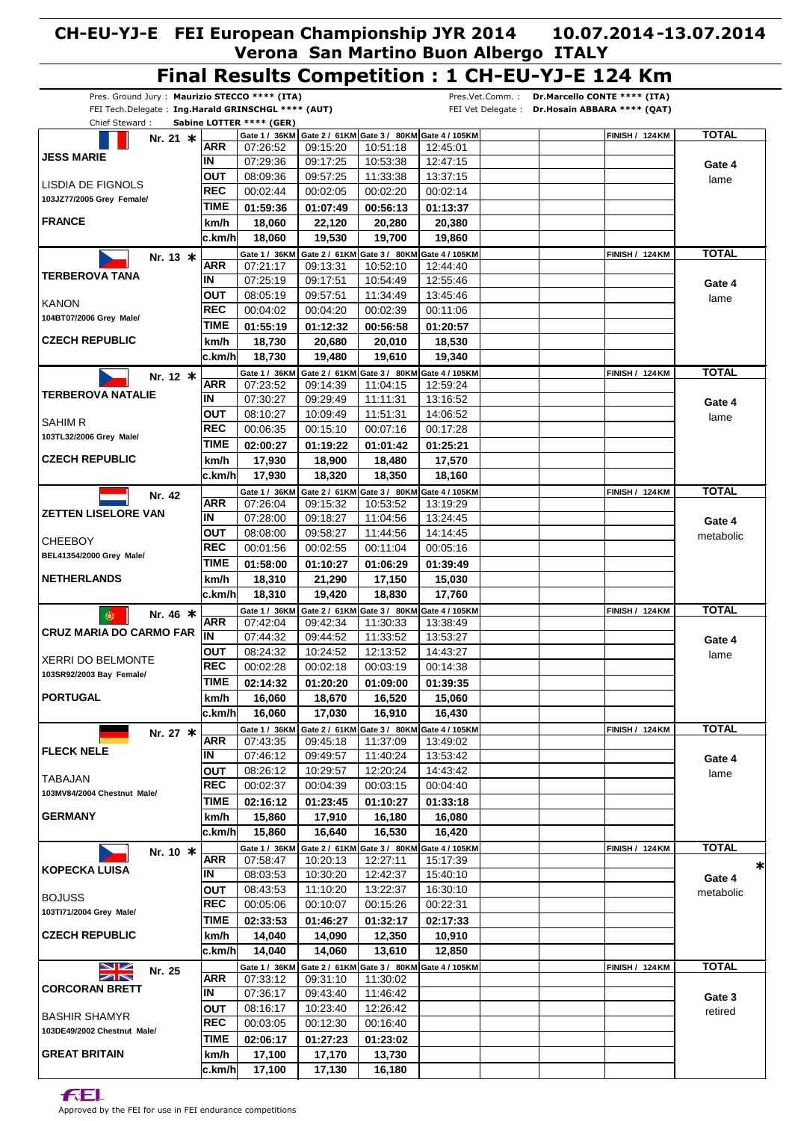#### **CH-EU-YJ-E FEI European Championship JYR 2014 Verona San Martino Buon Albergo ITALY 10.07.2014 13.07.2014 - Final Results Competition : 1 CH-EU-YJ-E 124 Km**

|                                                                                                     |                   |                          |          |                                                                      |                                                          | Final Results Competition : I CH-EO-19-E IZ4 RM                                                  |              |
|-----------------------------------------------------------------------------------------------------|-------------------|--------------------------|----------|----------------------------------------------------------------------|----------------------------------------------------------|--------------------------------------------------------------------------------------------------|--------------|
| Pres. Ground Jury: Maurizio STECCO **** (ITA)<br>FEI Tech.Delegate: Ing.Harald GRINSCHGL **** (AUT) |                   |                          |          |                                                                      |                                                          | Pres.Vet.Comm.:<br>Dr.Marcello CONTE **** (ITA)<br>FEI Vet Delegate: Dr.Hosain ABBARA **** (QAT) |              |
| Chief Steward:                                                                                      |                   | Sabine LOTTER **** (GER) |          |                                                                      |                                                          |                                                                                                  |              |
| Nr. 21 $*$                                                                                          |                   |                          |          |                                                                      | Gate 1 / 36KM Gate 2 / 61KM Gate 3 / 80KM Gate 4 / 105KM | <b>FINISH / 124 KM</b>                                                                           | <b>TOTAL</b> |
| <b>JESS MARIE</b>                                                                                   | <b>ARR</b>        | 07:26:52                 | 09:15:20 | 10:51:18                                                             | 12:45:01                                                 |                                                                                                  |              |
|                                                                                                     | IN                | 07:29:36                 | 09:17:25 | 10:53:38                                                             | 12:47:15                                                 |                                                                                                  | Gate 4       |
| LISDIA DE FIGNOLS                                                                                   | <b>OUT</b>        | 08:09:36                 | 09:57:25 | 11:33:38                                                             | 13:37:15                                                 |                                                                                                  | lame         |
| 103JZ77/2005 Grey Female/                                                                           | <b>REC</b>        | 00:02:44                 | 00:02:05 | 00:02:20                                                             | 00:02:14                                                 |                                                                                                  |              |
|                                                                                                     | TIME              | 01:59:36                 | 01:07:49 | 00:56:13                                                             | 01:13:37                                                 |                                                                                                  |              |
| <b>FRANCE</b>                                                                                       | km/h              | 18,060                   | 22,120   | 20,280                                                               | 20,380                                                   |                                                                                                  |              |
|                                                                                                     | c.km/h            | 18.060                   | 19,530   | 19,700                                                               | 19,860                                                   |                                                                                                  |              |
| Nr. 13 *                                                                                            |                   |                          |          |                                                                      | Gate 1 / 36KM Gate 2 / 61KM Gate 3 / 80KM Gate 4 / 105KM | <b>FINISH / 124 KM</b>                                                                           | <b>TOTAL</b> |
| <b>TERBEROVA TANA</b>                                                                               | <b>ARR</b>        | 07:21:17                 | 09:13:31 | 10:52:10                                                             | 12:44:40                                                 |                                                                                                  |              |
|                                                                                                     | IN                | 07:25:19                 | 09:17:51 | 10:54:49                                                             | 12:55:46                                                 |                                                                                                  | Gate 4       |
| <b>KANON</b>                                                                                        | <b>OUT</b>        | 08:05:19                 | 09:57:51 | 11:34:49                                                             | 13:45:46                                                 |                                                                                                  | lame         |
| 104BT07/2006 Grey Male/                                                                             | <b>REC</b>        | 00:04:02                 | 00:04:20 | 00:02:39                                                             | 00:11:06                                                 |                                                                                                  |              |
|                                                                                                     | TIME              | 01:55:19                 | 01:12:32 | 00:56:58                                                             | 01:20:57                                                 |                                                                                                  |              |
| <b>CZECH REPUBLIC</b>                                                                               | km/h              | 18,730                   | 20,680   | 20,010                                                               | 18,530                                                   |                                                                                                  |              |
|                                                                                                     | c.km/h            | 18,730                   | 19,480   | 19,610                                                               | 19,340                                                   |                                                                                                  |              |
| Nr. 12 *                                                                                            |                   |                          |          | Gate 1 / 36KM Gate 2 / 61KM Gate 3 / 80KM Gate 4 / 105KM             |                                                          | <b>FINISH / 124 KM</b>                                                                           | <b>TOTAL</b> |
| <b>TERBEROVA NATALIE</b>                                                                            | <b>ARR</b>        | 07:23:52                 | 09:14:39 | 11:04:15                                                             | 12:59:24                                                 |                                                                                                  |              |
|                                                                                                     | IN                | 07:30:27                 | 09:29:49 | 11:11:31                                                             | 13:16:52                                                 |                                                                                                  | Gate 4       |
| <b>SAHIM R</b>                                                                                      | <b>OUT</b>        | 08:10:27                 | 10:09:49 | 11:51:31                                                             | 14:06:52                                                 |                                                                                                  | lame         |
| 103TL32/2006 Grey Male/                                                                             | <b>REC</b>        | 00:06:35                 | 00:15:10 | 00:07:16                                                             | 00:17:28                                                 |                                                                                                  |              |
|                                                                                                     | <b>TIME</b>       | 02:00:27                 | 01:19:22 | 01:01:42                                                             | 01:25:21                                                 |                                                                                                  |              |
| <b>CZECH REPUBLIC</b>                                                                               | km/h              | 17,930                   | 18,900   | 18,480                                                               | 17,570                                                   |                                                                                                  |              |
|                                                                                                     | ∣c.km/h∣          | 17,930                   | 18,320   | 18,350                                                               | 18,160                                                   |                                                                                                  |              |
| Nr. 42                                                                                              | <b>ARR</b>        |                          |          | Gate 1 / 36KM Gate 2 / 61KM Gate 3 / 80KM Gate 4 / 105KM             |                                                          | <b>FINISH / 124 KM</b>                                                                           | <b>TOTAL</b> |
| <b>ZETTEN LISELORE VAN</b>                                                                          | IN                | 07:26:04                 | 09:15:32 | 10:53:52<br>11:04:56                                                 | 13:19:29                                                 |                                                                                                  |              |
|                                                                                                     |                   | 07:28:00                 | 09:18:27 |                                                                      | 13:24:45                                                 |                                                                                                  | Gate 4       |
| CHEEBOY                                                                                             | ΟUΤ<br><b>REC</b> | 08:08:00                 | 09:58:27 | 11:44:56                                                             | 14:14:45                                                 |                                                                                                  | metabolic    |
| BEL41354/2000 Grey Male/                                                                            | <b>TIME</b>       | 00:01:56                 | 00:02:55 | 00:11:04                                                             | 00:05:16                                                 |                                                                                                  |              |
| <b>NETHERLANDS</b>                                                                                  |                   | 01:58:00                 | 01:10:27 | 01:06:29                                                             | 01:39:49                                                 |                                                                                                  |              |
|                                                                                                     | km/h              | 18,310                   | 21,290   | 17,150                                                               | 15,030                                                   |                                                                                                  |              |
|                                                                                                     | c.km/h            | 18,310                   | 19,420   | 18,830                                                               | 17,760                                                   |                                                                                                  |              |
| Nr. 46 *<br>$^{\circ}$                                                                              | <b>ARR</b>        | 07:42:04                 | 09:42:34 | Gate 1 / 36KM Gate 2 / 61KM Gate 3 / 80KM Gate 4 / 105KM<br>11:30:33 | 13:38:49                                                 | <b>FINISH / 124 KM</b>                                                                           | <b>TOTAL</b> |
| <b>CRUZ MARIA DO CARMO FAR</b>                                                                      | İIN               | 07:44:32                 | 09:44:52 | 11:33:52                                                             | 13:53:27                                                 |                                                                                                  |              |
|                                                                                                     | ουτ               | 08:24:32                 | 10:24:52 | 12:13:52                                                             | 14:43:27                                                 |                                                                                                  | Gate 4       |
| <b>XERRI DO BELMONTE</b>                                                                            | <b>REC</b>        | 00:02:28                 | 00:02:18 | 00:03:19                                                             | 00:14:38                                                 |                                                                                                  | lame         |
| 103SR92/2003 Bay Female/                                                                            | <b>TIME</b>       | 02:14:32                 | 01:20:20 | 01:09:00                                                             | 01:39:35                                                 |                                                                                                  |              |
| <b>PORTUGAL</b>                                                                                     | km/h              | 16,060                   | 18,670   | 16,520                                                               | 15,060                                                   |                                                                                                  |              |
|                                                                                                     | c.km/h            | 16,060                   | 17,030   | 16,910                                                               | 16,430                                                   |                                                                                                  |              |
|                                                                                                     |                   | Gate 1 / 36KM            |          | Gate 2 / 61KM Gate 3 / 80KM Gate 4 / 105KM                           |                                                          | <b>FINISH / 124 KM</b>                                                                           | <b>TOTAL</b> |
| Nr. 27 *                                                                                            | <b>ARR</b>        | 07:43:35                 | 09:45:18 | 11:37:09                                                             | 13:49:02                                                 |                                                                                                  |              |
| <b>FLECK NELE</b>                                                                                   | IN                | 07:46:12                 | 09:49:57 | 11:40:24                                                             | 13:53:42                                                 |                                                                                                  | Gate 4       |
|                                                                                                     | ΟUΤ               | 08:26:12                 | 10:29:57 | 12:20:24                                                             | 14:43:42                                                 |                                                                                                  | lame         |
| TABAJAN                                                                                             | <b>REC</b>        | 00:02:37                 | 00:04:39 | 00:03:15                                                             | 00:04:40                                                 |                                                                                                  |              |
| 103MV84/2004 Chestnut Male/                                                                         | TIME              | 02:16:12                 | 01:23:45 | 01:10:27                                                             | 01:33:18                                                 |                                                                                                  |              |
| <b>GERMANY</b>                                                                                      | km/h              | 15,860                   | 17,910   | 16,180                                                               | 16,080                                                   |                                                                                                  |              |
|                                                                                                     | ∣c.km/h           | 15,860                   | 16,640   | 16,530                                                               | 16,420                                                   |                                                                                                  |              |
|                                                                                                     |                   | Gate 1 / 36KM            |          | Gate 2 / 61KM Gate 3 / 80KM Gate 4 / 105KM                           |                                                          | <b>FINISH / 124 KM</b>                                                                           | <b>TOTAL</b> |
| Nr. 10 *                                                                                            | <b>ARR</b>        | 07:58:47                 | 10:20:13 | 12:27:11                                                             | 15:17:39                                                 |                                                                                                  | ∗            |
| <b>KOPECKA LUISA</b>                                                                                | IN                | 08:03:53                 | 10:30:20 | 12:42:37                                                             | 15:40:10                                                 |                                                                                                  | Gate 4       |
|                                                                                                     | ΟUΤ               | 08:43:53                 | 11:10:20 | 13:22:37                                                             | 16:30:10                                                 |                                                                                                  | metabolic    |
| <b>BOJUSS</b>                                                                                       | REC               | 00:05:06                 | 00:10:07 | 00:15:26                                                             | 00:22:31                                                 |                                                                                                  |              |
| 103Tl71/2004 Grey Male/                                                                             | <b>TIME</b>       | 02:33:53                 | 01:46:27 | 01:32:17                                                             | 02:17:33                                                 |                                                                                                  |              |
| <b>CZECH REPUBLIC</b>                                                                               | km/h              | 14,040                   | 14,090   | 12,350                                                               | 10,910                                                   |                                                                                                  |              |
|                                                                                                     | c.km/h            | 14,040                   | 14,060   | 13,610                                                               | 12,850                                                   |                                                                                                  |              |
| $\simeq$<br>Nr. 25                                                                                  |                   |                          |          | Gate 1 / 36KM Gate 2 / 61KM Gate 3 / 80KM Gate 4 / 105KM             |                                                          | <b>FINISH / 124 KM</b>                                                                           | <b>TOTAL</b> |
| $\overline{\mathbf{Z}}$                                                                             | ARR               | 07:33:12                 | 09:31:10 | 11:30:02                                                             |                                                          |                                                                                                  |              |
| <b>CORCORAN BRETT</b>                                                                               | IN                | 07:36:17                 | 09:43:40 | 11:46:42                                                             |                                                          |                                                                                                  | Gate 3       |
| <b>BASHIR SHAMYR</b>                                                                                | ΟUΤ               | 08:16:17                 | 10:23:40 | 12:26:42                                                             |                                                          |                                                                                                  | retired      |
| 103DE49/2002 Chestnut Male/                                                                         | <b>REC</b>        | 00:03:05                 | 00:12:30 | 00:16:40                                                             |                                                          |                                                                                                  |              |
|                                                                                                     | <b>TIME</b>       | 02:06:17                 | 01:27:23 | 01:23:02                                                             |                                                          |                                                                                                  |              |
| <b>GREAT BRITAIN</b>                                                                                | km/h              | 17,100                   | 17,170   | 13,730                                                               |                                                          |                                                                                                  |              |
|                                                                                                     | c.km/h            | 17,100                   | 17,130   | 16,180                                                               |                                                          |                                                                                                  |              |

**FEL**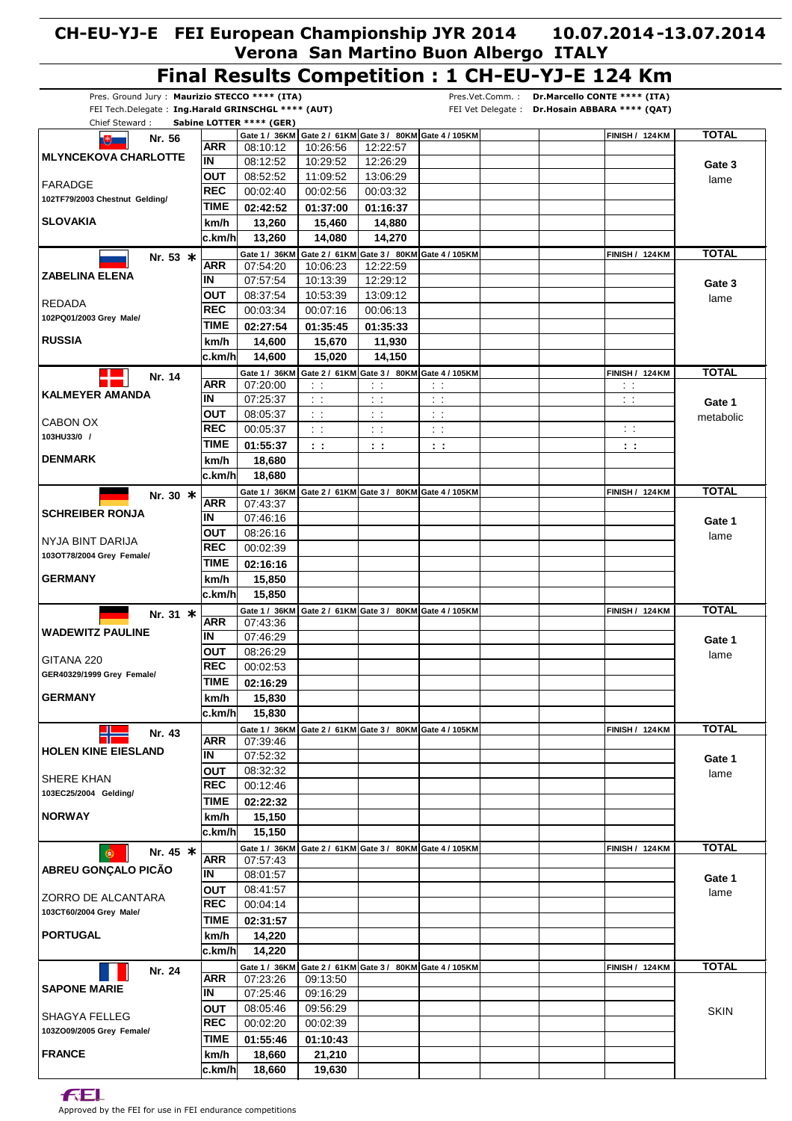#### **Final Results Competition : 1 CH-EU-YJ-E 124 Km** Pres. Ground Jury : **Maurizio STECCO \*\*\*\* (ITA)** Pres.Vet.Comm. : **Dr.Marcello CONTE \*\*\*\* (ITA)** FEI Tech.Delegate : **Ing.Harald GRINSCHGL \*\*\*\* (AUT)** FEI Vet Delegate : **Dr.Hosain ABBARA \*\*\*\* (QAT)** Chief Steward : **Sabine LOTTER \*\*\*\* (GER)**  $\begin{bmatrix} \text{Gate 1 / 36KM} \end{bmatrix}$  Gate 2 / 61 KM $\begin{bmatrix} \text{Gaite 3 / 80KM} \end{bmatrix}$  Gate 4 / 105 KM $\begin{bmatrix} \text{FIN} & \text{A} \end{bmatrix}$  $+$ **Nr. 56 ARR** 08:10:12 10:26:56 12:22:57 **MLYNCEKOVA CHARLOTTE**  $\overline{\mathsf{IN}}$ 08:12:52 10:29:52 12:26:29 **Gate 3 lout** 08:52:52 11:09:52 13:06:29 lame FARADGE **REC** 00:02:40 00:02:56 00:03:32 **102TF79/2003 Chestnut Gelding/ TIME 02:42:52 01:37:00 01:16:37 SLOVAKIA km/h 13,260 15,460 14,880 c.km/h 14,080 14,270 13,260 61 Gate 2 / KM 80 Gate 3 / KM Gate 4 / KM <sup>105</sup> FINISH / KM 124 TOTAL \* Nr. 53 36 Gate 1 / KM ARR** 07:54:20 10:06:23 12:22:59 **ZABELINA ELENA IN** 07:57:54 10:13:39 12:29:12 **Gate 3 OUT** 08:37:54 10:53:39 13:09:12 lame REDADA **REC** 00:03:34 00:07:16 00:06:13 **102PQ01/2003 Grey Male/ TIME 01:35:45 02:27:54 01:35:33 RUSSIA km/h 11,930 14,600 15,670 c.km/h 15,020 14,150 14,600 FINISH / 124 KM TOTAL** Gate 1 / 36KM **Gate 2 / 61KM Gate 3 / 80KM Gate 4 / 105KM Nr. 14 ARR** 07:20:00 : : : :  $\mathbb{R}^n$  : : **KALMEYER AMANDA IN** 07:25:37 : : : : : : : : **Gate 1 OUT** 08:05:37 : : : : : : metabolic CABON OX **REC** 00:05:37 : : : : : : : : **103HU33/0 / TIME 01:55:37 : : : : : : : : DENMARK km/h 18,680 c.km/h 18,680 Kr. 30**  $\ast$  **Gate 1/ 36KM Gate 2/ 61KM 6ate 3/ 80KM 6ate 4/105KM TOTAL FINISH / 124 KM TOTAL ARR** 07:43:37 **SCHREIBER RONJA IN** 07:46:16 **Gate 1 OUT** 08:26:16 lame NYJA BINT DARIJA **REC** 00:02:39 **103OT78/2004 Grey Female/ TIME 02:16:16 GERMANY km/h 15,850 c.km/h 15,850 Kr. 31**  $\ast$  **Gate 1/ 36KM Gate 2/ 61KM 6ate 3/ 80KM 6ate 4/105KM <b>FINISH** / 124 KM **FINISH / 124 KM TOTAL ARR** 07:43:36 **WADEWITZ PAULINE IN** 07:46:29 **Gate 1 OUT** 08:26:29 lame GITANA 220 **REC** 00:02:53 **GER40329/1999 Grey Female/ TIME 02:16:29 GERMANY km/h 15,830 c.km/h 15,830 Nr. 43 Gate 1/ 36KM Gate 2/ 61KM Gate 3/ 80KM Gate 4/105KM FINISH / 124KM TOTAL ARR** 07:39:46 **HOLEN KINE EIESLAND IN** 07:52:32 **Gate 1 OUT** 08:32:32 lame SHERE KHAN **REC** 00:12:46 **103EC25/2004 Gelding/ TIME 02:22:32 NORWAY km/h 15,150 c.km/h 15,150 Kr. 45**  $\ast$  **Gate 1 / 36KM Gate 2 / 61KM Gate 3 / 80KM Gate 4 / 105KM TOTAL FINISH / 124 KM TOTAL**  $\bullet$ **ARR** 07:57:43 **ABREU GONÇALO PICÃO IN** 08:01:57 **Gate 1 OUT** 08:41:57 lame ZORRO DE ALCANTARA **REC** 00:04:14 **103CT60/2004 Grey Male/ TIME 02:31:57 PORTUGAL km/h 14,220 c.km/h 14,220**  $\begin{bmatrix} \text{Gaite 1 / 36KM} \end{bmatrix}$  Gate 2 / 61 KM $\begin{bmatrix} \text{Gaite 3 / 80KM} \end{bmatrix}$  Gate 4 / 105 KM $\begin{bmatrix} \text{FINISH / 124KM} \end{bmatrix}$  TOTAL **Nr. 24 ARR** 07:23:26 09:13:50 **SAPONE MARIE IN** 07:25:46 09:16:29 08:05:46 **OUT** 09:56:29 **SKIN** SHAGYA FELLEG **REC** 00:02:20 00:02:39 **103ZO09/2005 Grey Female/ TIME 01:55:46 01:10:43 FRANCE km/h 18,660 21,210 c.km/h 19,630 18,660**

**FEL**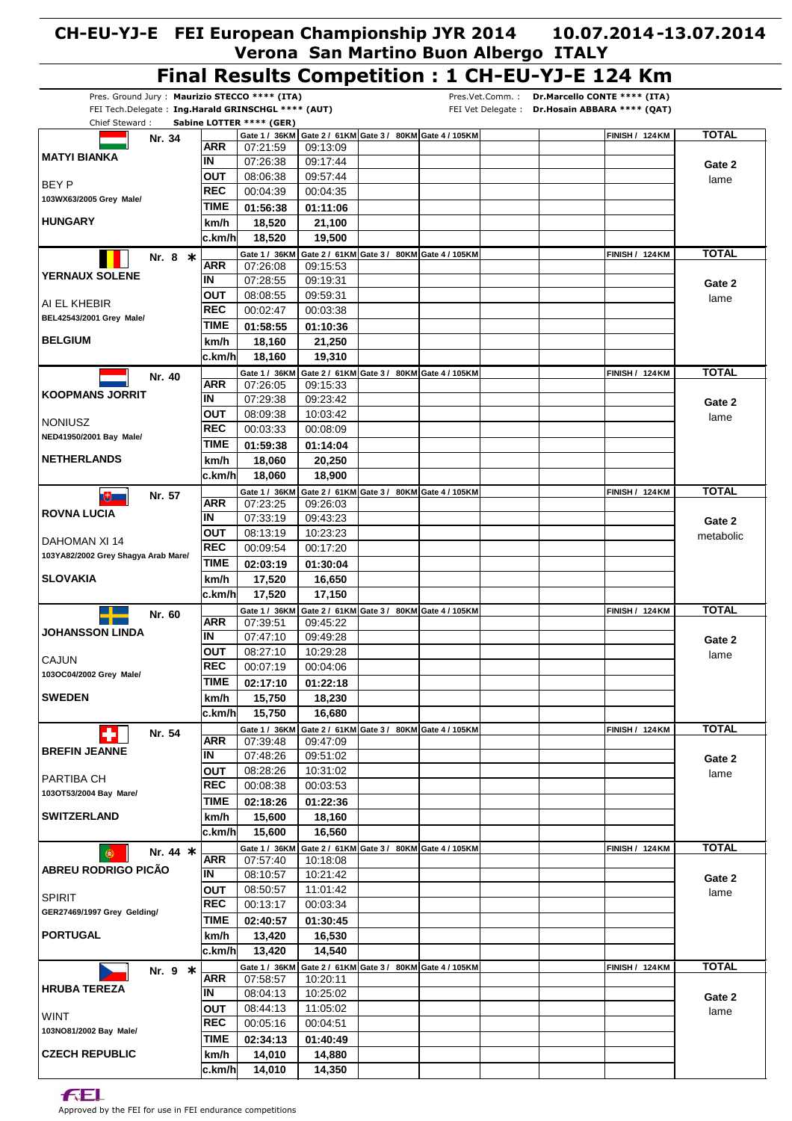# **Final Results Competition : 1 CH-EU-YJ-E 124 Km**

| Pres. Ground Jury: Maurizio STECCO **** (ITA)      |             |                          |          |                                                                |                                                          | Dr.Marcello CONTE **** (ITA)<br>Pres.Vet.Comm.: |                        |              |
|----------------------------------------------------|-------------|--------------------------|----------|----------------------------------------------------------------|----------------------------------------------------------|-------------------------------------------------|------------------------|--------------|
| FEI Tech.Delegate: Ing.Harald GRINSCHGL **** (AUT) |             |                          |          |                                                                |                                                          | FEI Vet Delegate: Dr. Hosain ABBARA **** (QAT)  |                        |              |
| Chief Steward:                                     |             | Sabine LOTTER **** (GER) |          |                                                                |                                                          |                                                 |                        |              |
| Nr. 34                                             |             |                          |          |                                                                | Gate 1 / 36KM Gate 2 / 61KM Gate 3 / 80KM Gate 4 / 105KM |                                                 | <b>FINISH / 124 KM</b> | <b>TOTAL</b> |
| <b>MATYI BIANKA</b>                                | ARR         | 07:21:59                 | 09:13:09 |                                                                |                                                          |                                                 |                        |              |
|                                                    | IN          | 07:26:38                 | 09:17:44 |                                                                |                                                          |                                                 |                        | Gate 2       |
| BEY P                                              | <b>OUT</b>  | 08:06:38                 | 09:57:44 |                                                                |                                                          |                                                 |                        | lame         |
|                                                    | <b>REC</b>  | 00:04:39                 | 00:04:35 |                                                                |                                                          |                                                 |                        |              |
| 103WX63/2005 Grey Male/                            | TIME        | 01:56:38                 | 01:11:06 |                                                                |                                                          |                                                 |                        |              |
| <b>HUNGARY</b>                                     | km/h        | 18,520                   | 21,100   |                                                                |                                                          |                                                 |                        |              |
|                                                    | c.km/h      | 18,520                   | 19,500   |                                                                |                                                          |                                                 |                        |              |
|                                                    |             |                          |          |                                                                |                                                          |                                                 |                        |              |
| Nr. 8 *                                            | ARR         | Gate 1 / 36KM            |          | Gate 2 / 61KM Gate 3 / 80KM Gate 4 / 105KM                     |                                                          |                                                 | FINISH / 124 KM        | <b>TOTAL</b> |
| <b>YERNAUX SOLENE</b>                              |             | 07:26:08                 | 09:15:53 |                                                                |                                                          |                                                 |                        |              |
|                                                    | ΙN          | 07:28:55                 | 09:19:31 |                                                                |                                                          |                                                 |                        | Gate 2       |
| AI EL KHEBIR                                       | OUT         | 08:08:55                 | 09:59:31 |                                                                |                                                          |                                                 |                        | lame         |
| BEL42543/2001 Grey Male/                           | <b>REC</b>  | 00:02:47                 | 00:03:38 |                                                                |                                                          |                                                 |                        |              |
|                                                    | TIME        | 01:58:55                 | 01:10:36 |                                                                |                                                          |                                                 |                        |              |
| <b>BELGIUM</b>                                     | km/h        | 18,160                   | 21,250   |                                                                |                                                          |                                                 |                        |              |
|                                                    | ∣c.km/h     | 18,160                   | 19,310   |                                                                |                                                          |                                                 |                        |              |
|                                                    |             |                          |          |                                                                |                                                          |                                                 |                        |              |
| Nr. 40                                             |             | Gate 1 / 36KM            |          | Gate 2 / 61KM Gate 3 / 80KM Gate 4 / 105KM                     |                                                          |                                                 | <b>FINISH / 124 KM</b> | <b>TOTAL</b> |
| <b>KOOPMANS JORRIT</b>                             | ARR         | 07:26:05                 | 09:15:33 |                                                                |                                                          |                                                 |                        |              |
|                                                    | IN          | 07:29:38                 | 09:23:42 |                                                                |                                                          |                                                 |                        | Gate 2       |
| <b>NONIUSZ</b>                                     | <b>OUT</b>  | 08:09:38                 | 10:03:42 |                                                                |                                                          |                                                 |                        | lame         |
|                                                    | <b>REC</b>  | 00:03:33                 | 00:08:09 |                                                                |                                                          |                                                 |                        |              |
| NED41950/2001 Bay Male/                            | TIME        | 01:59:38                 | 01:14:04 |                                                                |                                                          |                                                 |                        |              |
| <b>NETHERLANDS</b>                                 | km/h        | 18,060                   | 20,250   |                                                                |                                                          |                                                 |                        |              |
|                                                    |             |                          |          |                                                                |                                                          |                                                 |                        |              |
|                                                    | ∣c.km/h     | 18,060                   | 18,900   |                                                                |                                                          |                                                 |                        |              |
| Nr. 57<br>サ                                        |             |                          |          | Gate 1 / 36KM Gate 2 / 61KM Gate 3 / 80KM Gate 4 / 105KM       |                                                          |                                                 | <b>FINISH / 124 KM</b> | <b>TOTAL</b> |
| <b>ROVNA LUCIA</b>                                 | ARR         | 07:23:25                 | 09:26:03 |                                                                |                                                          |                                                 |                        |              |
|                                                    | IN          | 07:33:19                 | 09:43:23 |                                                                |                                                          |                                                 |                        | Gate 2       |
|                                                    | <b>OUT</b>  | 08:13:19                 | 10:23:23 |                                                                |                                                          |                                                 |                        | metabolic    |
| DAHOMAN XI 14                                      | REC         | 00:09:54                 | 00:17:20 |                                                                |                                                          |                                                 |                        |              |
| 103YA82/2002 Grey Shagya Arab Mare/                | <b>TIME</b> | 02:03:19                 | 01:30:04 |                                                                |                                                          |                                                 |                        |              |
| <b>SLOVAKIA</b>                                    | km/h        | 17,520                   | 16,650   |                                                                |                                                          |                                                 |                        |              |
|                                                    |             |                          |          |                                                                |                                                          |                                                 |                        |              |
|                                                    | c.km/h      | 17,520                   | 17,150   |                                                                |                                                          |                                                 |                        |              |
| Nr. 60                                             |             |                          |          | Gate 1 / 36KM   Gate 2 / 61KM   Gate 3 / 80KM   Gate 4 / 105KM |                                                          |                                                 | <b>FINISH / 124 KM</b> | <b>TOTAL</b> |
|                                                    | ARR         | 07:39:51                 | 09:45:22 |                                                                |                                                          |                                                 |                        |              |
| JOHANSSON LINDA                                    | IN          | 07:47:10                 | 09:49:28 |                                                                |                                                          |                                                 |                        | Gate 2       |
|                                                    | OUT         | 08:27:10                 | 10:29:28 |                                                                |                                                          |                                                 |                        | lame         |
| CAJUN                                              | <b>REC</b>  | 00:07:19                 | 00:04:06 |                                                                |                                                          |                                                 |                        |              |
| 103OC04/2002 Grey Male/                            | <b>TIME</b> | 02:17:10                 | 01:22:18 |                                                                |                                                          |                                                 |                        |              |
|                                                    |             |                          |          |                                                                |                                                          |                                                 |                        |              |
| <b>SWEDEN</b>                                      | km/h        | 15,750                   | 18,230   |                                                                |                                                          |                                                 |                        |              |
|                                                    | c.km/h      | 15,750                   | 16,680   |                                                                |                                                          |                                                 |                        |              |
| Nr. 54                                             |             |                          |          | Gate 1 / 36KM Gate 2 / 61KM Gate 3 / 80KM Gate 4 / 105KM       |                                                          |                                                 | <b>FINISH / 124 KM</b> | <b>TOTAL</b> |
|                                                    | ARR         | 07:39:48                 | 09:47:09 |                                                                |                                                          |                                                 |                        |              |
| <b>BREFIN JEANNE</b>                               | IN          | 07:48:26                 | 09:51:02 |                                                                |                                                          |                                                 |                        | Gate 2       |
|                                                    | OUT         | 08:28:26                 | 10:31:02 |                                                                |                                                          |                                                 |                        | lame         |
| PARTIBA CH                                         | <b>REC</b>  | 00:08:38                 | 00:03:53 |                                                                |                                                          |                                                 |                        |              |
| 103OT53/2004 Bay Mare/                             | TIME        | 02:18:26                 | 01:22:36 |                                                                |                                                          |                                                 |                        |              |
|                                                    |             |                          |          |                                                                |                                                          |                                                 |                        |              |
| <b>SWITZERLAND</b>                                 | km/h        | 15,600                   | 18,160   |                                                                |                                                          |                                                 |                        |              |
|                                                    | ∣c.km/h     | 15,600                   | 16,560   |                                                                |                                                          |                                                 |                        |              |
| Nr. 44 *                                           |             | Gate 1 / 36KM            |          | Gate 2 / 61KM Gate 3 / 80KM Gate 4 / 105KM                     |                                                          |                                                 | <b>FINISH / 124 KM</b> | <b>TOTAL</b> |
|                                                    | <b>ARR</b>  | 07:57:40                 | 10:18:08 |                                                                |                                                          |                                                 |                        |              |
| ABREU RODRIGO PICÃO                                | ΙN          | 08:10:57                 | 10:21:42 |                                                                |                                                          |                                                 |                        | Gate 2       |
|                                                    | OUT         | 08:50:57                 | 11:01:42 |                                                                |                                                          |                                                 |                        | lame         |
| <b>SPIRIT</b>                                      | REC         | 00:13:17                 | 00:03:34 |                                                                |                                                          |                                                 |                        |              |
| GER27469/1997 Grey Gelding/                        | TIME        |                          |          |                                                                |                                                          |                                                 |                        |              |
|                                                    |             | 02:40:57                 | 01:30:45 |                                                                |                                                          |                                                 |                        |              |
| <b>PORTUGAL</b>                                    | km/h        | 13,420                   | 16,530   |                                                                |                                                          |                                                 |                        |              |
|                                                    | ∣c.km/h     | 13,420                   | 14,540   |                                                                |                                                          |                                                 |                        |              |
| Nr. 9 *                                            |             |                          |          | Gate 1 / 36KM Gate 2 / 61KM Gate 3 / 80KM Gate 4 / 105KM       |                                                          |                                                 | <b>FINISH / 124 KM</b> | <b>TOTAL</b> |
|                                                    | <b>ARR</b>  | 07:58:57                 | 10:20:11 |                                                                |                                                          |                                                 |                        |              |
| <b>HRUBA TEREZA</b>                                | ΙN          | 08:04:13                 | 10:25:02 |                                                                |                                                          |                                                 |                        | Gate 2       |
|                                                    | ΟUΤ         | 08:44:13                 | 11:05:02 |                                                                |                                                          |                                                 |                        |              |
| WINT                                               | <b>REC</b>  |                          |          |                                                                |                                                          |                                                 |                        | lame         |
| 103NO81/2002 Bay Male/                             |             | 00:05:16                 | 00:04:51 |                                                                |                                                          |                                                 |                        |              |
|                                                    | <b>TIME</b> | 02:34:13                 | 01:40:49 |                                                                |                                                          |                                                 |                        |              |
| <b>CZECH REPUBLIC</b>                              | km/h        | 14,010                   | 14,880   |                                                                |                                                          |                                                 |                        |              |
|                                                    |             | 14,010<br>c.km/h         | 14,350   |                                                                |                                                          |                                                 |                        |              |

**FEL**